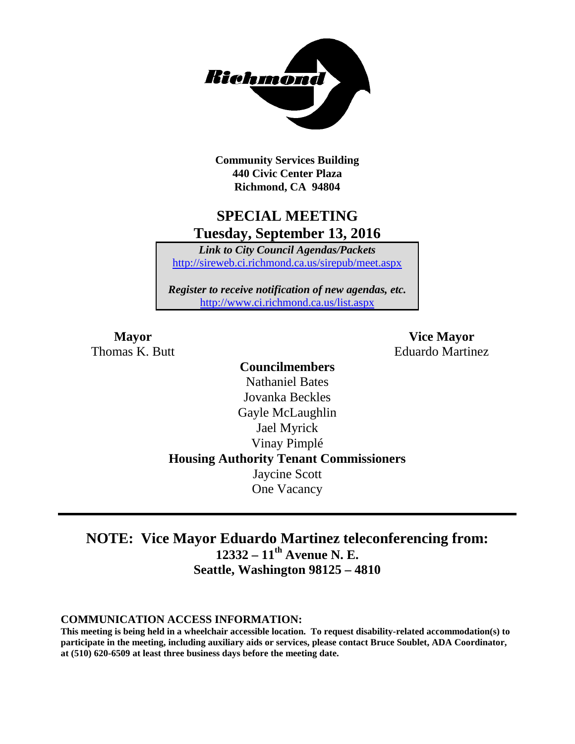

**Community Services Building 440 Civic Center Plaza Richmond, CA 94804**

## **SPECIAL MEETING Tuesday, September 13, 2016**

*Link to City Council Agendas/Packets* <http://sireweb.ci.richmond.ca.us/sirepub/meet.aspx>

*Register to receive notification of new agendas, etc.* <http://www.ci.richmond.ca.us/list.aspx>

**Mayor Vice Mayor** Thomas K. Butt **Eduardo Martinez** 

> **Councilmembers** Nathaniel Bates Jovanka Beckles Gayle McLaughlin Jael Myrick Vinay Pimplé **Housing Authority Tenant Commissioners** Jaycine Scott One Vacancy

## **NOTE: Vice Mayor Eduardo Martinez teleconferencing from: 12332 – 11th Avenue N. E. Seattle, Washington 98125 – 4810**

#### **COMMUNICATION ACCESS INFORMATION:**

**This meeting is being held in a wheelchair accessible location. To request disability-related accommodation(s) to participate in the meeting, including auxiliary aids or services, please contact Bruce Soublet, ADA Coordinator, at (510) 620-6509 at least three business days before the meeting date.**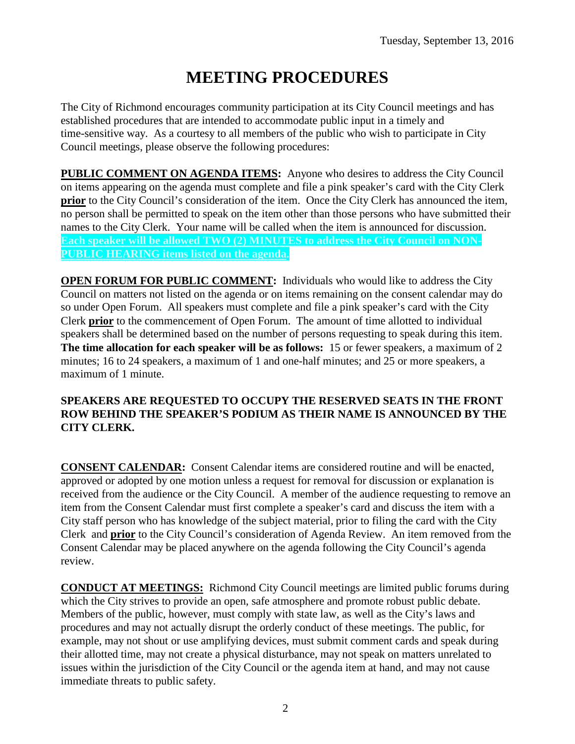# **MEETING PROCEDURES**

The City of Richmond encourages community participation at its City Council meetings and has established procedures that are intended to accommodate public input in a timely and time-sensitive way. As a courtesy to all members of the public who wish to participate in City Council meetings, please observe the following procedures:

**PUBLIC COMMENT ON AGENDA ITEMS:** Anyone who desires to address the City Council on items appearing on the agenda must complete and file a pink speaker's card with the City Clerk **prior** to the City Council's consideration of the item. Once the City Clerk has announced the item, no person shall be permitted to speak on the item other than those persons who have submitted their names to the City Clerk. Your name will be called when the item is announced for discussion. **Each speaker will be allowed TWO (2) MINUTES to address the City Council on NON-PUBLIC HEARING items listed on the agenda.**

**OPEN FORUM FOR PUBLIC COMMENT:** Individuals who would like to address the City Council on matters not listed on the agenda or on items remaining on the consent calendar may do so under Open Forum. All speakers must complete and file a pink speaker's card with the City Clerk **prior** to the commencement of Open Forum. The amount of time allotted to individual speakers shall be determined based on the number of persons requesting to speak during this item. **The time allocation for each speaker will be as follows:** 15 or fewer speakers, a maximum of 2 minutes; 16 to 24 speakers, a maximum of 1 and one-half minutes; and 25 or more speakers, a maximum of 1 minute.

#### **SPEAKERS ARE REQUESTED TO OCCUPY THE RESERVED SEATS IN THE FRONT ROW BEHIND THE SPEAKER'S PODIUM AS THEIR NAME IS ANNOUNCED BY THE CITY CLERK.**

**CONSENT CALENDAR:** Consent Calendar items are considered routine and will be enacted, approved or adopted by one motion unless a request for removal for discussion or explanation is received from the audience or the City Council. A member of the audience requesting to remove an item from the Consent Calendar must first complete a speaker's card and discuss the item with a City staff person who has knowledge of the subject material, prior to filing the card with the City Clerk and **prior** to the City Council's consideration of Agenda Review. An item removed from the Consent Calendar may be placed anywhere on the agenda following the City Council's agenda review.

**CONDUCT AT MEETINGS:** Richmond City Council meetings are limited public forums during which the City strives to provide an open, safe atmosphere and promote robust public debate. Members of the public, however, must comply with state law, as well as the City's laws and procedures and may not actually disrupt the orderly conduct of these meetings. The public, for example, may not shout or use amplifying devices, must submit comment cards and speak during their allotted time, may not create a physical disturbance, may not speak on matters unrelated to issues within the jurisdiction of the City Council or the agenda item at hand, and may not cause immediate threats to public safety.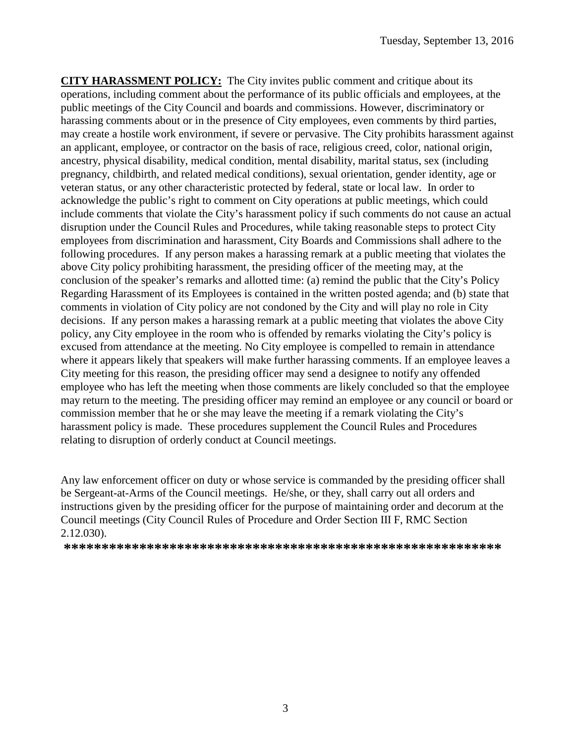**CITY HARASSMENT POLICY:** The City invites public comment and critique about its operations, including comment about the performance of its public officials and employees, at the public meetings of the City Council and boards and commissions. However, discriminatory or harassing comments about or in the presence of City employees, even comments by third parties, may create a hostile work environment, if severe or pervasive. The City prohibits harassment against an applicant, employee, or contractor on the basis of race, religious creed, color, national origin, ancestry, physical disability, medical condition, mental disability, marital status, sex (including pregnancy, childbirth, and related medical conditions), sexual orientation, gender identity, age or veteran status, or any other characteristic protected by federal, state or local law. In order to acknowledge the public's right to comment on City operations at public meetings, which could include comments that violate the City's harassment policy if such comments do not cause an actual disruption under the Council Rules and Procedures, while taking reasonable steps to protect City employees from discrimination and harassment, City Boards and Commissions shall adhere to the following procedures. If any person makes a harassing remark at a public meeting that violates the above City policy prohibiting harassment, the presiding officer of the meeting may, at the conclusion of the speaker's remarks and allotted time: (a) remind the public that the City's Policy Regarding Harassment of its Employees is contained in the written posted agenda; and (b) state that comments in violation of City policy are not condoned by the City and will play no role in City decisions. If any person makes a harassing remark at a public meeting that violates the above City policy, any City employee in the room who is offended by remarks violating the City's policy is excused from attendance at the meeting. No City employee is compelled to remain in attendance where it appears likely that speakers will make further harassing comments. If an employee leaves a City meeting for this reason, the presiding officer may send a designee to notify any offended employee who has left the meeting when those comments are likely concluded so that the employee may return to the meeting. The presiding officer may remind an employee or any council or board or commission member that he or she may leave the meeting if a remark violating the City's harassment policy is made. These procedures supplement the Council Rules and Procedures relating to disruption of orderly conduct at Council meetings.

Any law enforcement officer on duty or whose service is commanded by the presiding officer shall be Sergeant-at-Arms of the Council meetings. He/she, or they, shall carry out all orders and instructions given by the presiding officer for the purpose of maintaining order and decorum at the Council meetings (City Council Rules of Procedure and Order Section III F, RMC Section 2.12.030).

**\*\*\*\*\*\*\*\*\*\*\*\*\*\*\*\*\*\*\*\*\*\*\*\*\*\*\*\*\*\*\*\*\*\*\*\*\*\*\*\*\*\*\*\*\*\*\*\*\*\*\*\*\*\*\*\*\*\***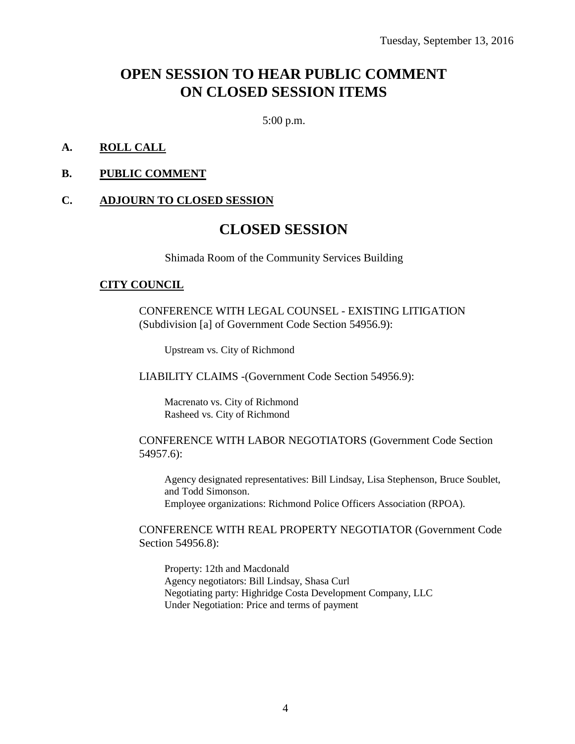## **OPEN SESSION TO HEAR PUBLIC COMMENT ON CLOSED SESSION ITEMS**

5:00 p.m.

#### **A. ROLL CALL**

#### **B. PUBLIC COMMENT**

#### **C. ADJOURN TO CLOSED SESSION**

## **CLOSED SESSION**

Shimada Room of the Community Services Building

#### **CITY COUNCIL**

CONFERENCE WITH LEGAL COUNSEL - EXISTING LITIGATION (Subdivision [a] of Government Code Section 54956.9):

Upstream vs. City of Richmond

LIABILITY CLAIMS -(Government Code Section 54956.9):

Macrenato vs. City of Richmond Rasheed vs. City of Richmond

#### CONFERENCE WITH LABOR NEGOTIATORS (Government Code Section 54957.6):

Agency designated representatives: Bill Lindsay, Lisa Stephenson, Bruce Soublet, and Todd Simonson. Employee organizations: Richmond Police Officers Association (RPOA).

#### CONFERENCE WITH REAL PROPERTY NEGOTIATOR (Government Code Section 54956.8):

Property: 12th and Macdonald Agency negotiators: Bill Lindsay, Shasa Curl Negotiating party: Highridge Costa Development Company, LLC Under Negotiation: Price and terms of payment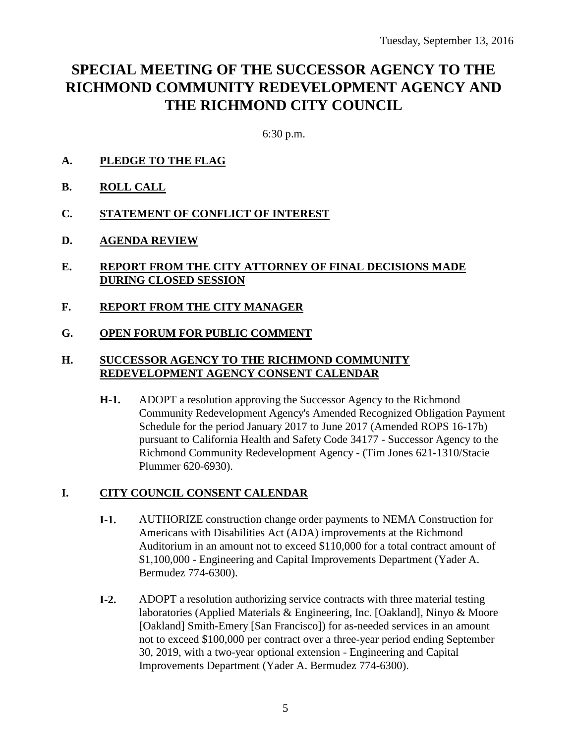## **SPECIAL MEETING OF THE SUCCESSOR AGENCY TO THE RICHMOND COMMUNITY REDEVELOPMENT AGENCY AND THE RICHMOND CITY COUNCIL**

6:30 p.m.

- **A. PLEDGE TO THE FLAG**
- **B. ROLL CALL**
- **C. STATEMENT OF CONFLICT OF INTEREST**
- **D. AGENDA REVIEW**
- **E. REPORT FROM THE CITY ATTORNEY OF FINAL DECISIONS MADE DURING CLOSED SESSION**
- **F. REPORT FROM THE CITY MANAGER**
- **G. OPEN FORUM FOR PUBLIC COMMENT**

#### **H. SUCCESSOR AGENCY TO THE RICHMOND COMMUNITY REDEVELOPMENT AGENCY CONSENT CALENDAR**

**H-1.** ADOPT a resolution approving the Successor Agency to the Richmond Community Redevelopment Agency's Amended Recognized Obligation Payment Schedule for the period January 2017 to June 2017 (Amended ROPS 16-17b) pursuant to California Health and Safety Code 34177 - Successor Agency to the Richmond Community Redevelopment Agency - (Tim Jones 621-1310/Stacie Plummer 620-6930).

#### **I. CITY COUNCIL CONSENT CALENDAR**

- **I-1.** AUTHORIZE construction change order payments to NEMA Construction for Americans with Disabilities Act (ADA) improvements at the Richmond Auditorium in an amount not to exceed \$110,000 for a total contract amount of \$1,100,000 - Engineering and Capital Improvements Department (Yader A. Bermudez 774-6300).
- **I-2.** ADOPT a resolution authorizing service contracts with three material testing laboratories (Applied Materials & Engineering, Inc. [Oakland], Ninyo & Moore [Oakland] Smith-Emery [San Francisco]) for as-needed services in an amount not to exceed \$100,000 per contract over a three-year period ending September 30, 2019, with a two-year optional extension - Engineering and Capital Improvements Department (Yader A. Bermudez 774-6300).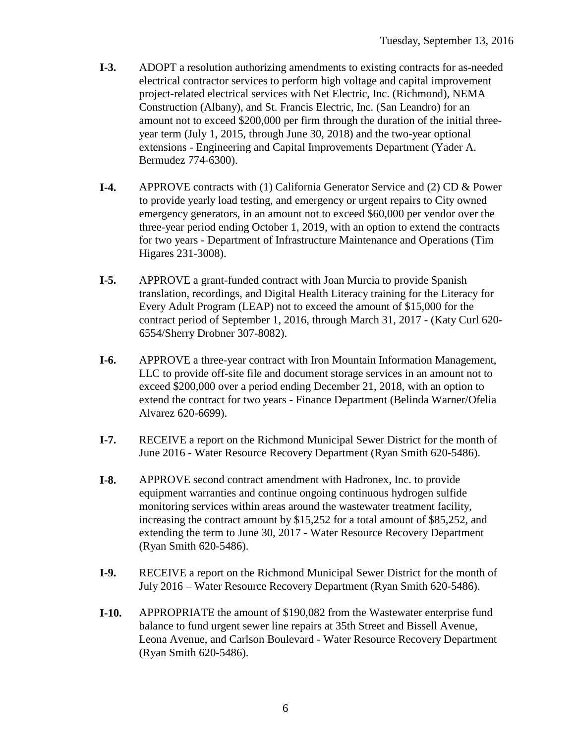- **I-3.** ADOPT a resolution authorizing amendments to existing contracts for as-needed electrical contractor services to perform high voltage and capital improvement project-related electrical services with Net Electric, Inc. (Richmond), NEMA Construction (Albany), and St. Francis Electric, Inc. (San Leandro) for an amount not to exceed \$200,000 per firm through the duration of the initial threeyear term (July 1, 2015, through June 30, 2018) and the two-year optional extensions - Engineering and Capital Improvements Department (Yader A. Bermudez 774-6300).
- **I-4.** APPROVE contracts with (1) California Generator Service and (2) CD & Power to provide yearly load testing, and emergency or urgent repairs to City owned emergency generators, in an amount not to exceed \$60,000 per vendor over the three-year period ending October 1, 2019, with an option to extend the contracts for two years - Department of Infrastructure Maintenance and Operations (Tim Higares 231-3008).
- **I-5.** APPROVE a grant-funded contract with Joan Murcia to provide Spanish translation, recordings, and Digital Health Literacy training for the Literacy for Every Adult Program (LEAP) not to exceed the amount of \$15,000 for the contract period of September 1, 2016, through March 31, 2017 - (Katy Curl 620- 6554/Sherry Drobner 307-8082).
- **I-6.** APPROVE a three-year contract with Iron Mountain Information Management, LLC to provide off-site file and document storage services in an amount not to exceed \$200,000 over a period ending December 21, 2018, with an option to extend the contract for two years - Finance Department (Belinda Warner/Ofelia Alvarez 620-6699).
- **I-7.** RECEIVE a report on the Richmond Municipal Sewer District for the month of June 2016 - Water Resource Recovery Department (Ryan Smith 620-5486).
- **I-8.** APPROVE second contract amendment with Hadronex, Inc. to provide equipment warranties and continue ongoing continuous hydrogen sulfide monitoring services within areas around the wastewater treatment facility, increasing the contract amount by \$15,252 for a total amount of \$85,252, and extending the term to June 30, 2017 - Water Resource Recovery Department (Ryan Smith 620-5486).
- **I-9.** RECEIVE a report on the Richmond Municipal Sewer District for the month of July 2016 – Water Resource Recovery Department (Ryan Smith 620-5486).
- **I-10.** APPROPRIATE the amount of \$190,082 from the Wastewater enterprise fund balance to fund urgent sewer line repairs at 35th Street and Bissell Avenue, Leona Avenue, and Carlson Boulevard - Water Resource Recovery Department (Ryan Smith 620-5486).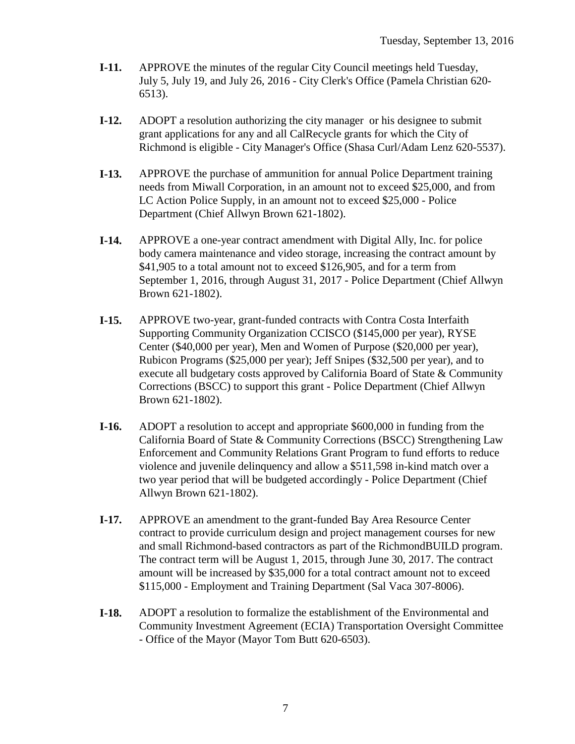- **I-11.** APPROVE the minutes of the regular City Council meetings held Tuesday, July 5, July 19, and July 26, 2016 - City Clerk's Office (Pamela Christian 620- 6513).
- **I-12.** ADOPT a resolution authorizing the city manager or his designee to submit grant applications for any and all CalRecycle grants for which the City of Richmond is eligible - City Manager's Office (Shasa Curl/Adam Lenz 620-5537).
- **I-13.** APPROVE the purchase of ammunition for annual Police Department training needs from Miwall Corporation, in an amount not to exceed \$25,000, and from LC Action Police Supply, in an amount not to exceed \$25,000 - Police Department (Chief Allwyn Brown 621-1802).
- **I-14.** APPROVE a one-year contract amendment with Digital Ally, Inc. for police body camera maintenance and video storage, increasing the contract amount by \$41,905 to a total amount not to exceed \$126,905, and for a term from September 1, 2016, through August 31, 2017 - Police Department (Chief Allwyn Brown 621-1802).
- **I-15.** APPROVE two-year, grant-funded contracts with Contra Costa Interfaith Supporting Community Organization CCISCO (\$145,000 per year), RYSE Center (\$40,000 per year), Men and Women of Purpose (\$20,000 per year), Rubicon Programs (\$25,000 per year); Jeff Snipes (\$32,500 per year), and to execute all budgetary costs approved by California Board of State & Community Corrections (BSCC) to support this grant - Police Department (Chief Allwyn Brown 621-1802).
- **I-16.** ADOPT a resolution to accept and appropriate \$600,000 in funding from the California Board of State & Community Corrections (BSCC) Strengthening Law Enforcement and Community Relations Grant Program to fund efforts to reduce violence and juvenile delinquency and allow a \$511,598 in-kind match over a two year period that will be budgeted accordingly - Police Department (Chief Allwyn Brown 621-1802).
- **I-17.** APPROVE an amendment to the grant-funded Bay Area Resource Center contract to provide curriculum design and project management courses for new and small Richmond-based contractors as part of the RichmondBUILD program. The contract term will be August 1, 2015, through June 30, 2017. The contract amount will be increased by \$35,000 for a total contract amount not to exceed \$115,000 - Employment and Training Department (Sal Vaca 307-8006).
- **I-18.** ADOPT a resolution to formalize the establishment of the Environmental and Community Investment Agreement (ECIA) Transportation Oversight Committee - Office of the Mayor (Mayor Tom Butt 620-6503).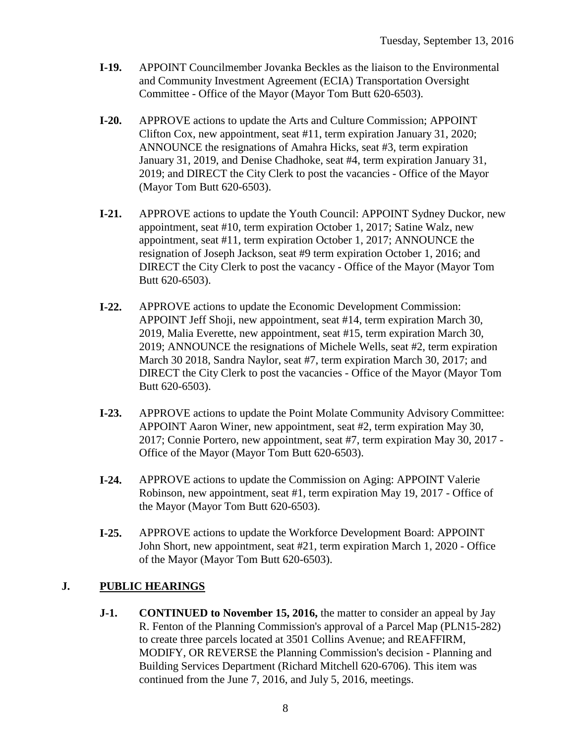- **I-19.** APPOINT Councilmember Jovanka Beckles as the liaison to the Environmental and Community Investment Agreement (ECIA) Transportation Oversight Committee - Office of the Mayor (Mayor Tom Butt 620-6503).
- **I-20.** APPROVE actions to update the Arts and Culture Commission; APPOINT Clifton Cox, new appointment, seat #11, term expiration January 31, 2020; ANNOUNCE the resignations of Amahra Hicks, seat #3, term expiration January 31, 2019, and Denise Chadhoke, seat #4, term expiration January 31, 2019; and DIRECT the City Clerk to post the vacancies - Office of the Mayor (Mayor Tom Butt 620-6503).
- **I-21.** APPROVE actions to update the Youth Council: APPOINT Sydney Duckor, new appointment, seat #10, term expiration October 1, 2017; Satine Walz, new appointment, seat #11, term expiration October 1, 2017; ANNOUNCE the resignation of Joseph Jackson, seat #9 term expiration October 1, 2016; and DIRECT the City Clerk to post the vacancy - Office of the Mayor (Mayor Tom Butt 620-6503).
- **I-22.** APPROVE actions to update the Economic Development Commission: APPOINT Jeff Shoji, new appointment, seat #14, term expiration March 30, 2019, Malia Everette, new appointment, seat #15, term expiration March 30, 2019; ANNOUNCE the resignations of Michele Wells, seat #2, term expiration March 30 2018, Sandra Naylor, seat #7, term expiration March 30, 2017; and DIRECT the City Clerk to post the vacancies - Office of the Mayor (Mayor Tom Butt 620-6503).
- **I-23.** APPROVE actions to update the Point Molate Community Advisory Committee: APPOINT Aaron Winer, new appointment, seat #2, term expiration May 30, 2017; Connie Portero, new appointment, seat #7, term expiration May 30, 2017 - Office of the Mayor (Mayor Tom Butt 620-6503).
- **I-24.** APPROVE actions to update the Commission on Aging: APPOINT Valerie Robinson, new appointment, seat #1, term expiration May 19, 2017 - Office of the Mayor (Mayor Tom Butt 620-6503).
- **I-25.** APPROVE actions to update the Workforce Development Board: APPOINT John Short, new appointment, seat #21, term expiration March 1, 2020 - Office of the Mayor (Mayor Tom Butt 620-6503).

## **J. PUBLIC HEARINGS**

**J-1. CONTINUED to November 15, 2016,** the matter to consider an appeal by Jay R. Fenton of the Planning Commission's approval of a Parcel Map (PLN15-282) to create three parcels located at 3501 Collins Avenue; and REAFFIRM, MODIFY, OR REVERSE the Planning Commission's decision - Planning and Building Services Department (Richard Mitchell 620-6706). This item was continued from the June 7, 2016, and July 5, 2016, meetings.